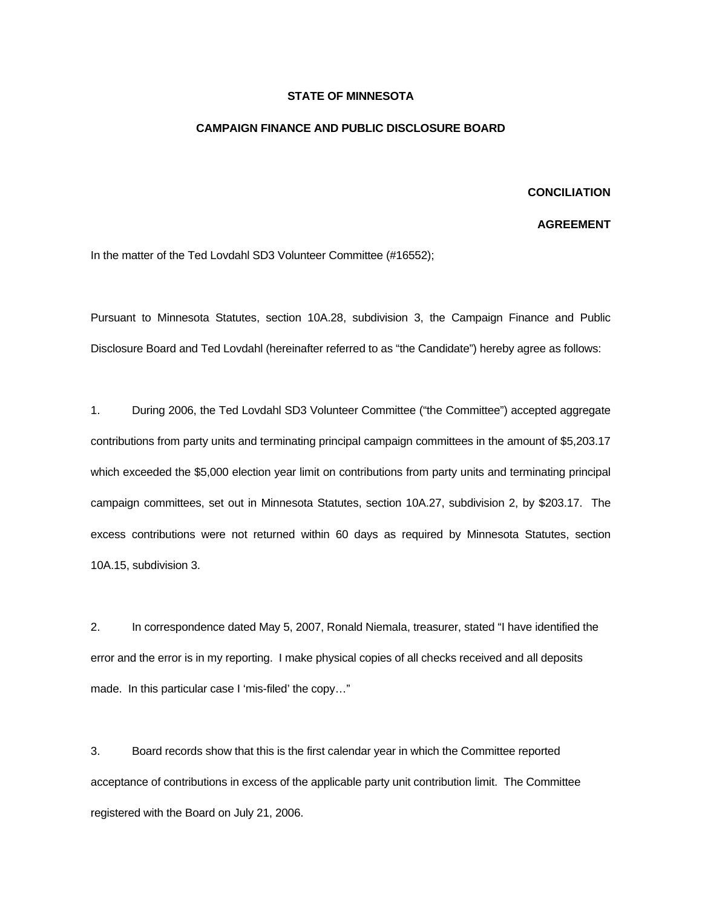## **STATE OF MINNESOTA**

## **CAMPAIGN FINANCE AND PUBLIC DISCLOSURE BOARD**

## **CONCILIATION**

## **AGREEMENT**

In the matter of the Ted Lovdahl SD3 Volunteer Committee (#16552);

Pursuant to Minnesota Statutes, section 10A.28, subdivision 3, the Campaign Finance and Public Disclosure Board and Ted Lovdahl (hereinafter referred to as "the Candidate") hereby agree as follows:

1. During 2006, the Ted Lovdahl SD3 Volunteer Committee ("the Committee") accepted aggregate contributions from party units and terminating principal campaign committees in the amount of \$5,203.17 which exceeded the \$5,000 election year limit on contributions from party units and terminating principal campaign committees, set out in Minnesota Statutes, section 10A.27, subdivision 2, by \$203.17. The excess contributions were not returned within 60 days as required by Minnesota Statutes, section 10A.15, subdivision 3.

2. In correspondence dated May 5, 2007, Ronald Niemala, treasurer, stated "I have identified the error and the error is in my reporting. I make physical copies of all checks received and all deposits made. In this particular case I 'mis-filed' the copy…"

3. Board records show that this is the first calendar year in which the Committee reported acceptance of contributions in excess of the applicable party unit contribution limit. The Committee registered with the Board on July 21, 2006.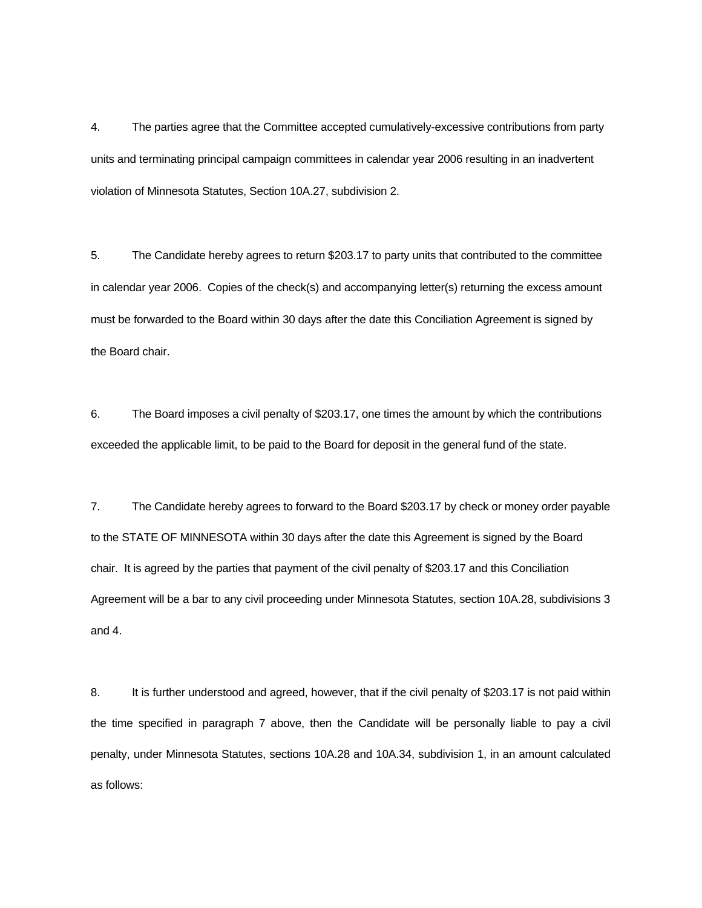4. The parties agree that the Committee accepted cumulatively-excessive contributions from party units and terminating principal campaign committees in calendar year 2006 resulting in an inadvertent violation of Minnesota Statutes, Section 10A.27, subdivision 2.

5. The Candidate hereby agrees to return \$203.17 to party units that contributed to the committee in calendar year 2006. Copies of the check(s) and accompanying letter(s) returning the excess amount must be forwarded to the Board within 30 days after the date this Conciliation Agreement is signed by the Board chair.

6. The Board imposes a civil penalty of \$203.17, one times the amount by which the contributions exceeded the applicable limit, to be paid to the Board for deposit in the general fund of the state.

7. The Candidate hereby agrees to forward to the Board \$203.17 by check or money order payable to the STATE OF MINNESOTA within 30 days after the date this Agreement is signed by the Board chair. It is agreed by the parties that payment of the civil penalty of \$203.17 and this Conciliation Agreement will be a bar to any civil proceeding under Minnesota Statutes, section 10A.28, subdivisions 3 and 4.

8. It is further understood and agreed, however, that if the civil penalty of \$203.17 is not paid within the time specified in paragraph 7 above, then the Candidate will be personally liable to pay a civil penalty, under Minnesota Statutes, sections 10A.28 and 10A.34, subdivision 1, in an amount calculated as follows: